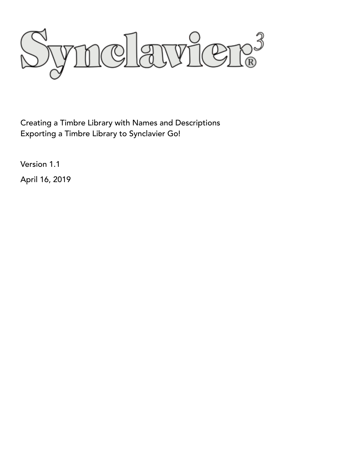

Creating a Timbre Library with Names and Descriptions Exporting a Timbre Library to Synclavier Go!

Version 1.1

April 16, 2019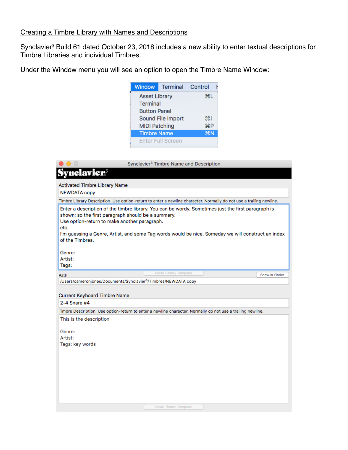# Creating a Timbre Library with Names and Descriptions

Synclavier<sup>3</sup> Build 61 dated October 23, 2018 includes a new ability to enter textual descriptions for Timbre Libraries and individual Timbres.

Under the Window menu you will see an option to open the Timbre Name Window:

| Window               | Terminal Control         |    |
|----------------------|--------------------------|----|
| <b>Asset Library</b> | ЖL                       |    |
| <b>Terminal</b>      |                          |    |
| <b>Button Panel</b>  |                          |    |
|                      | Sound File Import        | жı |
| <b>MIDI Patching</b> | <b>HRP</b>               |    |
| <b>Timbre Name</b>   | <b>第N</b>                |    |
|                      | <b>Enter Full Screen</b> |    |

|                                                                                                                               | Synclavier <sup>3</sup> Timbre Name and Description                                                                                                                                                      |                |
|-------------------------------------------------------------------------------------------------------------------------------|----------------------------------------------------------------------------------------------------------------------------------------------------------------------------------------------------------|----------------|
| nclavier®                                                                                                                     |                                                                                                                                                                                                          |                |
| Activated Timbre Library Name                                                                                                 |                                                                                                                                                                                                          |                |
| <b>NEWDATA copy</b>                                                                                                           |                                                                                                                                                                                                          |                |
|                                                                                                                               | Timbre Library Description. Use option-return to enter a newline character. Normally do not use a trailing newline.                                                                                      |                |
| shown; so the first paragraph should be a summary.<br>Use option-return to make another paragraph.<br>etc.<br>of the Timbres. | Enter a description of the timbre library. You can be wordy. Sometimes just the first paragraph is<br>I'm guessing a Genre, Artist, and some Tag words would be nice. Someday we will construct an index |                |
| Genre:<br>Artist:<br>Tags:                                                                                                    |                                                                                                                                                                                                          |                |
| Path                                                                                                                          | Paste Library Template                                                                                                                                                                                   | Show In Finder |
| /Users/cameronjones/Documents/Synclavier <sup>3</sup> /Timbres/NEWDATA copy                                                   |                                                                                                                                                                                                          |                |
|                                                                                                                               |                                                                                                                                                                                                          |                |
| Current Keyboard Timbre Name<br>2-4 Snare #4                                                                                  |                                                                                                                                                                                                          |                |
|                                                                                                                               | Timbre Description. Use option-return to enter a newline character. Normally do not use a trailing newline.                                                                                              |                |
| This is the description                                                                                                       |                                                                                                                                                                                                          |                |
| Genre:<br>Artist:<br>Tags: key words                                                                                          |                                                                                                                                                                                                          |                |
|                                                                                                                               |                                                                                                                                                                                                          |                |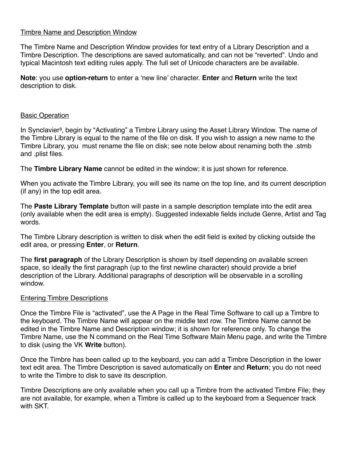# Timbre Name and Description Window

The Timbre Name and Description Window provides for text entry of a Library Description and a Timbre Description. The descriptions are saved automatically, and can not be "reverted". Undo and typical Macintosh text editing rules apply. The full set of Unicode characters are be available.

**Note**: you use **option-return** to enter a 'new line' character. **Enter** and **Return** write the text description to disk.

# Basic Operation

In Synclavier<sup>3</sup>, begin by "Activating" a Timbre Library using the Asset Library Window. The name of the Timbre Library is equal to the name of the file on disk. If you wish to assign a new name to the Timbre Library, you must rename the file on disk; see note below about renaming both the .stmb and .plist files.

The **Timbre Library Name** cannot be edited in the window; it is just shown for reference.

When you activate the Timbre Library, you will see its name on the top line, and its current description (if any) in the top edit area.

The **Paste Library Template** button will paste in a sample description template into the edit area (only available when the edit area is empty). Suggested indexable fields include Genre, Artist and Tag words.

The Timbre Library description is written to disk when the edit field is exited by clicking outside the edit area, or pressing **Enter**, or **Return**.

The **first paragraph** of the Library Description is shown by itself depending on available screen space, so ideally the first paragraph (up to the first newline character) should provide a brief description of the Library. Additional paragraphs of description will be observable in a scrolling window.

#### Entering Timbre Descriptions

Once the Timbre File is "activated", use the A Page in the Real Time Software to call up a Timbre to the keyboard. The Timbre Name will appear on the middle text row. The Timbre Name cannot be edited in the Timbre Name and Description window; it is shown for reference only. To change the Timbre Name, use the N command on the Real Time Software Main Menu page, and write the Timbre to disk (using the VK **Write** button).

Once the Timbre has been called up to the keyboard, you can add a Timbre Description in the lower text edit area. The Timbre Description is saved automatically on **Enter** and **Return**; you do not need to write the Timbre to disk to save its description.

Timbre Descriptions are only available when you call up a Timbre from the activated Timbre File; they are not available, for example, when a Timbre is called up to the keyboard from a Sequencer track with SKT.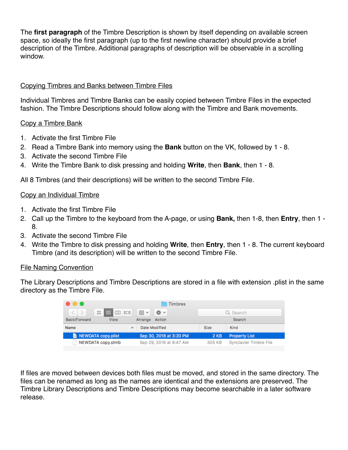The **first paragraph** of the Timbre Description is shown by itself depending on available screen space, so ideally the first paragraph (up to the first newline character) should provide a brief description of the Timbre. Additional paragraphs of description will be observable in a scrolling window.

# Copying Timbres and Banks between Timbre Files

Individual Timbres and Timbre Banks can be easily copied between Timbre Files in the expected fashion. The Timbre Descriptions should follow along with the Timbre and Bank movements.

# Copy a Timbre Bank

- 1. Activate the first Timbre File
- 2. Read a Timbre Bank into memory using the **Bank** button on the VK, followed by 1 8.
- 3. Activate the second Timbre File
- 4. Write the Timbre Bank to disk pressing and holding **Write**, then **Bank**, then 1 8.

All 8 Timbres (and their descriptions) will be written to the second Timbre File.

#### Copy an Individual Timbre

- 1. Activate the first Timbre File
- 2. Call up the Timbre to the keyboard from the A-page, or using **Bank,** then 1-8, then **Entry**, then 1 8.
- 3. Activate the second Timbre File
- 4. Write the Timbre to disk pressing and holding **Write**, then **Entry**, then 1 8. The current keyboard Timbre (and its description) will be written to the second Timbre File.

#### File Naming Convention

The Library Descriptions and Timbre Descriptions are stored in a file with extension .plist in the same directory as the Timbre File.

| 40 O                                         |                                     |             |                        |  |  |  |
|----------------------------------------------|-------------------------------------|-------------|------------------------|--|--|--|
| $\langle$ $\rangle$<br>88<br>$\equiv$ 00 101 | 尊。<br>$\frac{1}{\sqrt{100}}$ $\sim$ | Q Search    |                        |  |  |  |
| Back/Forward<br>View                         | Action<br>Arrange                   | Search      |                        |  |  |  |
| Name<br>$\lambda$                            | Date Modified                       | Size        | Kind                   |  |  |  |
| NEWDATA copy.plist                           | Sep 30, 2018 at 3:20 PM             | <b>2 KB</b> | <b>Property List</b>   |  |  |  |
| NEWDATA copy.stmb                            | Sep 29, 2018 at 9:47 AM             | 305 KB      | Synclavier Timbre File |  |  |  |

If files are moved between devices both files must be moved, and stored in the same directory. The files can be renamed as long as the names are identical and the extensions are preserved. The Timbre Library Descriptions and Timbre Descriptions may become searchable in a later software release.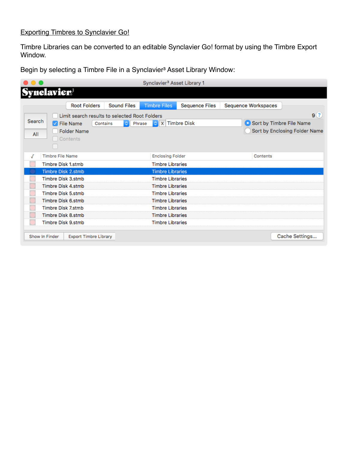# Exporting Timbres to Synclavier Go!

Timbre Libraries can be converted to an editable Synclavier Go! format by using the Timbre Export Window.

Begin by selecting a Timbre File in a Synclavier<sup>3</sup> Asset Library Window:

|               |                                                                  | <b>Root Folders</b> | <b>Sound Files</b>                                             | <b>Timbre Files</b>                                | <b>Sequence Files</b> | Sequence Workspaces      |                                       |
|---------------|------------------------------------------------------------------|---------------------|----------------------------------------------------------------|----------------------------------------------------|-----------------------|--------------------------|---------------------------------------|
| Search<br>All | $\sqrt{\phantom{a}}$ File Name<br><b>Folder Name</b><br>Contents |                     | Limit search results to selected Root Folders<br>Contains<br>٥ | $\circ$ $\mathbf{x}$<br>Phrase                     | <b>Timbre Disk</b>    | Sort by Timbre File Name | 9(?)<br>Sort by Enclosing Folder Name |
| J             | <b>Timbre File Name</b><br>Timbre Disk 1.stmb                    |                     |                                                                | <b>Enclosing Folder</b><br><b>Timbre Libraries</b> |                       | Contents                 |                                       |
|               | <b>Timbre Disk 2.stmb</b><br>Timbre Disk 3.stmb                  |                     |                                                                | <b>Timbre Libraries</b><br><b>Timbre Libraries</b> |                       |                          |                                       |
|               | Timbre Disk 4.stmb<br>Timbre Disk 5.stmb                         |                     |                                                                | <b>Timbre Libraries</b><br><b>Timbre Libraries</b> |                       |                          |                                       |
|               | Timbre Disk 6.stmb<br>Timbre Disk 7.stmb                         |                     |                                                                | <b>Timbre Libraries</b><br><b>Timbre Libraries</b> |                       |                          |                                       |
|               | Timbre Disk 8.stmb                                               |                     |                                                                | <b>Timbre Libraries</b>                            |                       |                          |                                       |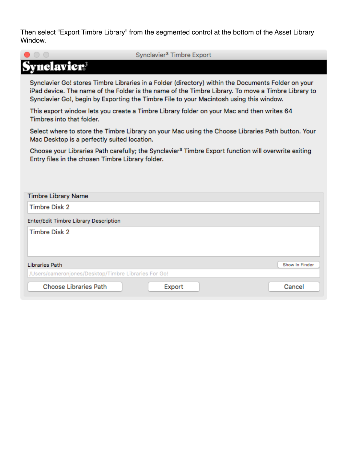Then select "Export Timbre Library" from the segmented control at the bottom of the Asset Library Window.

|                                              | Synclavier <sup>3</sup> Timbre Export                                                                                                                                                                                                                                                               |
|----------------------------------------------|-----------------------------------------------------------------------------------------------------------------------------------------------------------------------------------------------------------------------------------------------------------------------------------------------------|
| Synclavier                                   |                                                                                                                                                                                                                                                                                                     |
|                                              | Synclavier Go! stores Timbre Libraries in a Folder (directory) within the Documents Folder on your<br>iPad device. The name of the Folder is the name of the Timbre Library. To move a Timbre Library to<br>Synclavier Go!, begin by Exporting the Timbre File to your Macintosh using this window. |
| Timbres into that folder.                    | This export window lets you create a Timbre Library folder on your Mac and then writes 64                                                                                                                                                                                                           |
|                                              | Select where to store the Timbre Library on your Mac using the Choose Libraries Path button. Your<br>Mac Desktop is a perfectly suited location.                                                                                                                                                    |
|                                              | Choose your Libraries Path carefully; the Synclavier <sup>3</sup> Timbre Export function will overwrite exiting<br>Entry files in the chosen Timbre Library folder.                                                                                                                                 |
|                                              |                                                                                                                                                                                                                                                                                                     |
| <b>Timbre Library Name</b>                   |                                                                                                                                                                                                                                                                                                     |
| <b>Timbre Disk 2</b>                         |                                                                                                                                                                                                                                                                                                     |
| <b>Enter/Edit Timbre Library Description</b> |                                                                                                                                                                                                                                                                                                     |
| <b>Timbre Disk 2</b>                         |                                                                                                                                                                                                                                                                                                     |
| <b>Libraries Path</b>                        | Show In Finder                                                                                                                                                                                                                                                                                      |
|                                              | /Users/cameronjones/Desktop/Timbre Libraries For Go!                                                                                                                                                                                                                                                |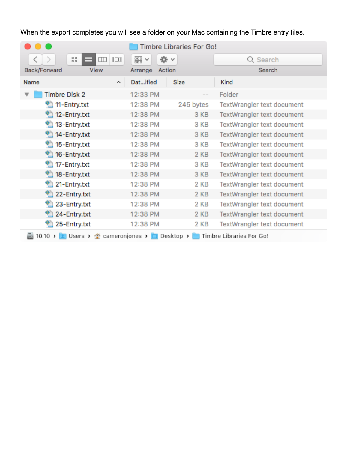When the export completes you will see a folder on your Mac containing the Timbre entry files.

|                              | <b>Timbre Libraries For Go!</b>    |                            |  |  |  |  |  |  |  |  |
|------------------------------|------------------------------------|----------------------------|--|--|--|--|--|--|--|--|
| 88<br>$\Box$<br>$\  \Box \ $ | 泰。<br>噐<br>$\checkmark$            | Q Search                   |  |  |  |  |  |  |  |  |
| Back/Forward<br>View         | Action<br>Arrange                  | Search                     |  |  |  |  |  |  |  |  |
| Name<br>$\hat{\phantom{a}}$  | Datified<br><b>Size</b>            | Kind                       |  |  |  |  |  |  |  |  |
| <b>Timbre Disk 2</b>         | 12:33 PM<br>--                     | Folder                     |  |  |  |  |  |  |  |  |
| 11-Entry.txt                 | 245 bytes<br>12:38 PM              | TextWrangler text document |  |  |  |  |  |  |  |  |
| <sup>1</sup> 12-Entry.txt    | 12:38 PM<br>3 KB                   | TextWrangler text document |  |  |  |  |  |  |  |  |
| 13-Entry.txt                 | 12:38 PM<br>3 KB                   | TextWrangler text document |  |  |  |  |  |  |  |  |
| 14-Entry.txt                 | 12:38 PM<br>3 KB                   | TextWrangler text document |  |  |  |  |  |  |  |  |
| 15-Entry.txt                 | 12:38 PM<br>3 KB                   | TextWrangler text document |  |  |  |  |  |  |  |  |
| $\bigcirc$ 16-Entry.txt      | 2 KB<br>12:38 PM                   | TextWrangler text document |  |  |  |  |  |  |  |  |
| 17-Entry.txt                 | 12:38 PM<br>3 KB                   | TextWrangler text document |  |  |  |  |  |  |  |  |
| 18-Entry.txt                 | 3 KB<br>12:38 PM                   | TextWrangler text document |  |  |  |  |  |  |  |  |
| 21-Entry.txt                 | 12:38 PM<br>2 KB                   | TextWrangler text document |  |  |  |  |  |  |  |  |
| 22-Entry.txt                 | 2 KB<br>12:38 PM                   | TextWrangler text document |  |  |  |  |  |  |  |  |
| 23-Entry.txt                 | 12:38 PM<br>2 KB                   | TextWrangler text document |  |  |  |  |  |  |  |  |
| 24-Entry.txt                 | 12:38 PM<br>2 KB                   | TextWrangler text document |  |  |  |  |  |  |  |  |
| 25-Entry.txt                 | 12:38 PM<br>2 KB                   | TextWrangler text document |  |  |  |  |  |  |  |  |
| 10.10 >                      | L Users > Cameroniones > Desktop > | Timbre Libraries For Go!   |  |  |  |  |  |  |  |  |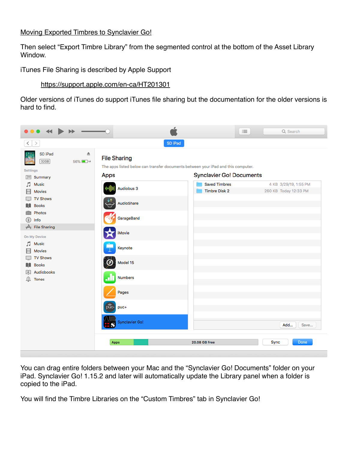# Moving Exported Timbres to Synclavier Go!

Then select "Export Timbre Library" from the segmented control at the bottom of the Asset Library Window.

iTunes File Sharing is described by Apple Support

#### <https://support.apple.com/en-ca/HT201301>

Older versions of iTunes do support iTunes file sharing but the documentation for the older versions is hard to find.



You can drag entire folders between your Mac and the "Synclavier Go! Documents" folder on your iPad. Synclavier Go! 1.15.2 and later will automatically update the Library panel when a folder is copied to the iPad.

You will find the Timbre Libraries on the "Custom Timbres" tab in Synclavier Go!